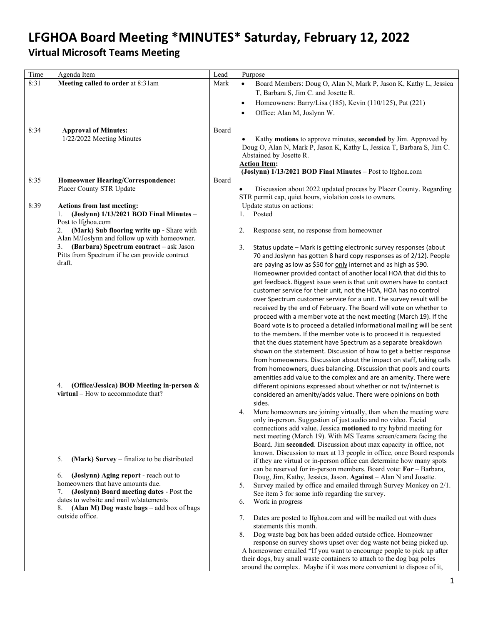# **LFGHOA Board Meeting \*MINUTES\* Saturday, February 12, 2022**

## **Virtual Microsoft Teams Meeting**

| Time | Agenda Item                                                                                                                                                                                                                                                                                                                                                                                                                                                                                                                                                                                                                                                                                                                    | Lead  | Purpose                                                                                                                                                                                                                                                                                                                                                                                                                                                                                                                                                                                                                                                                                                                                                                                                                                                                                                                                                                                                                                                                                                                                                                                                                                                                                                                                                                                                                                                                                                                                                                                                                                                                                                                                                                                                                                                                                                                                                                                                                                                                                                                                                                                                                                                                                                                                                                                                                                                                                                                                   |
|------|--------------------------------------------------------------------------------------------------------------------------------------------------------------------------------------------------------------------------------------------------------------------------------------------------------------------------------------------------------------------------------------------------------------------------------------------------------------------------------------------------------------------------------------------------------------------------------------------------------------------------------------------------------------------------------------------------------------------------------|-------|-------------------------------------------------------------------------------------------------------------------------------------------------------------------------------------------------------------------------------------------------------------------------------------------------------------------------------------------------------------------------------------------------------------------------------------------------------------------------------------------------------------------------------------------------------------------------------------------------------------------------------------------------------------------------------------------------------------------------------------------------------------------------------------------------------------------------------------------------------------------------------------------------------------------------------------------------------------------------------------------------------------------------------------------------------------------------------------------------------------------------------------------------------------------------------------------------------------------------------------------------------------------------------------------------------------------------------------------------------------------------------------------------------------------------------------------------------------------------------------------------------------------------------------------------------------------------------------------------------------------------------------------------------------------------------------------------------------------------------------------------------------------------------------------------------------------------------------------------------------------------------------------------------------------------------------------------------------------------------------------------------------------------------------------------------------------------------------------------------------------------------------------------------------------------------------------------------------------------------------------------------------------------------------------------------------------------------------------------------------------------------------------------------------------------------------------------------------------------------------------------------------------------------------------|
| 8:31 | Meeting called to order at 8:31am                                                                                                                                                                                                                                                                                                                                                                                                                                                                                                                                                                                                                                                                                              | Mark  | Board Members: Doug O, Alan N, Mark P, Jason K, Kathy L, Jessica<br>$\bullet$<br>T, Barbara S, Jim C. and Josette R.<br>Homeowners: Barry/Lisa (185), Kevin (110/125), Pat (221)<br>$\bullet$<br>Office: Alan M, Joslynn W.<br>$\bullet$                                                                                                                                                                                                                                                                                                                                                                                                                                                                                                                                                                                                                                                                                                                                                                                                                                                                                                                                                                                                                                                                                                                                                                                                                                                                                                                                                                                                                                                                                                                                                                                                                                                                                                                                                                                                                                                                                                                                                                                                                                                                                                                                                                                                                                                                                                  |
| 8:34 | <b>Approval of Minutes:</b><br>1/22/2022 Meeting Minutes                                                                                                                                                                                                                                                                                                                                                                                                                                                                                                                                                                                                                                                                       | Board | Kathy motions to approve minutes, seconded by Jim. Approved by<br>Doug O, Alan N, Mark P, Jason K, Kathy L, Jessica T, Barbara S, Jim C.<br>Abstained by Josette R.<br><b>Action Item:</b><br>(Joslynn) 1/13/2021 BOD Final Minutes - Post to lfghoa.com                                                                                                                                                                                                                                                                                                                                                                                                                                                                                                                                                                                                                                                                                                                                                                                                                                                                                                                                                                                                                                                                                                                                                                                                                                                                                                                                                                                                                                                                                                                                                                                                                                                                                                                                                                                                                                                                                                                                                                                                                                                                                                                                                                                                                                                                                  |
| 8:35 | <b>Homeowner Hearing/Correspondence:</b><br>Placer County STR Update                                                                                                                                                                                                                                                                                                                                                                                                                                                                                                                                                                                                                                                           | Board | Discussion about 2022 updated process by Placer County. Regarding<br>STR permit cap, quiet hours, violation costs to owners.                                                                                                                                                                                                                                                                                                                                                                                                                                                                                                                                                                                                                                                                                                                                                                                                                                                                                                                                                                                                                                                                                                                                                                                                                                                                                                                                                                                                                                                                                                                                                                                                                                                                                                                                                                                                                                                                                                                                                                                                                                                                                                                                                                                                                                                                                                                                                                                                              |
| 8:39 | <b>Actions from last meeting:</b><br>$(Joslynn)$ 1/13/2021 BOD Final Minutes -<br>1.<br>Post to lfghoa.com<br>(Mark) Sub flooring write up - Share with<br>2.<br>Alan M/Joslynn and follow up with homeowner.<br>(Barbara) Spectrum contract - ask Jason<br>3.<br>Pitts from Spectrum if he can provide contract<br>draft.<br>(Office/Jessica) BOD Meeting in-person &<br>4.<br>virtual – How to accommodate that?<br>(Mark) Survey – finalize to be distributed<br>5.<br>(Joslynn) Aging report - reach out to<br>6.<br>homeowners that have amounts due.<br>(Joslynn) Board meeting dates - Post the<br>7.<br>dates to website and mail w/statements<br>(Alan M) Dog waste bags $-$ add box of bags<br>8.<br>outside office. |       | Update status on actions:<br>Posted<br>1.<br>Response sent, no response from homeowner<br>2.<br>3.<br>Status update - Mark is getting electronic survey responses (about<br>70 and Joslynn has gotten 8 hard copy responses as of 2/12). People<br>are paying as low as \$50 for only internet and as high as \$90.<br>Homeowner provided contact of another local HOA that did this to<br>get feedback. Biggest issue seen is that unit owners have to contact<br>customer service for their unit, not the HOA, HOA has no control<br>over Spectrum customer service for a unit. The survey result will be<br>received by the end of February. The Board will vote on whether to<br>proceed with a member vote at the next meeting (March 19). If the<br>Board vote is to proceed a detailed informational mailing will be sent<br>to the members. If the member vote is to proceed it is requested<br>that the dues statement have Spectrum as a separate breakdown<br>shown on the statement. Discussion of how to get a better response<br>from homeowners. Discussion about the impact on staff, taking calls<br>from homeowners, dues balancing. Discussion that pools and courts<br>amenities add value to the complex and are an amenity. There were<br>different opinions expressed about whether or not tv/internet is<br>considered an amenity/adds value. There were opinions on both<br>sides.<br>4.<br>More homeowners are joining virtually, than when the meeting were<br>only in-person. Suggestion of just audio and no video. Facial<br>connections add value. Jessica motioned to try hybrid meeting for<br>next meeting (March 19). With MS Teams screen/camera facing the<br>Board. Jim seconded. Discussion about max capacity in office, not<br>known. Discussion to max at 13 people in office, once Board responds<br>if they are virtual or in-person office can determine how many spots<br>can be reserved for in-person members. Board vote: For - Barbara,<br>Doug, Jim, Kathy, Jessica, Jason. Against - Alan N and Josette.<br>Survey mailed by office and emailed through Survey Monkey on 2/1.<br>5.<br>See item 3 for some info regarding the survey.<br>Work in progress<br>6.<br>7.<br>Dates are posted to lfghoa.com and will be mailed out with dues<br>statements this month.<br>Dog waste bag box has been added outside office. Homeowner<br>8.<br>response on survey shows upset over dog waste not being picked up.<br>A homeowner emailed "If you want to encourage people to pick up after |
|      |                                                                                                                                                                                                                                                                                                                                                                                                                                                                                                                                                                                                                                                                                                                                |       | their dogs, buy small waste containers to attach to the dog bag poles<br>around the complex. Maybe if it was more convenient to dispose of it,                                                                                                                                                                                                                                                                                                                                                                                                                                                                                                                                                                                                                                                                                                                                                                                                                                                                                                                                                                                                                                                                                                                                                                                                                                                                                                                                                                                                                                                                                                                                                                                                                                                                                                                                                                                                                                                                                                                                                                                                                                                                                                                                                                                                                                                                                                                                                                                            |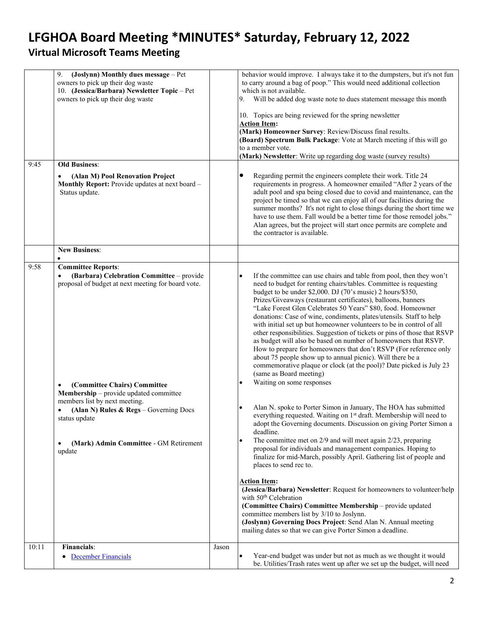# **LFGHOA Board Meeting \*MINUTES\* Saturday, February 12, 2022**

## **Virtual Microsoft Teams Meeting**

<span id="page-1-0"></span>

|       | 9.<br>(Joslynn) Monthly dues message - Pet                                                                         |       | behavior would improve. I always take it to the dumpsters, but it's not fun                                                                                                                                                                                                                                                                                                                                                                                                                                                                                      |
|-------|--------------------------------------------------------------------------------------------------------------------|-------|------------------------------------------------------------------------------------------------------------------------------------------------------------------------------------------------------------------------------------------------------------------------------------------------------------------------------------------------------------------------------------------------------------------------------------------------------------------------------------------------------------------------------------------------------------------|
|       | owners to pick up their dog waste                                                                                  |       | to carry around a bag of poop." This would need additional collection                                                                                                                                                                                                                                                                                                                                                                                                                                                                                            |
|       | 10. (Jessica/Barbara) Newsletter Topic - Pet                                                                       |       | which is not available.                                                                                                                                                                                                                                                                                                                                                                                                                                                                                                                                          |
|       | owners to pick up their dog waste                                                                                  |       | Will be added dog waste note to dues statement message this month<br>9.                                                                                                                                                                                                                                                                                                                                                                                                                                                                                          |
|       |                                                                                                                    |       | 10. Topics are being reviewed for the spring newsletter                                                                                                                                                                                                                                                                                                                                                                                                                                                                                                          |
|       |                                                                                                                    |       | <b>Action Item:</b>                                                                                                                                                                                                                                                                                                                                                                                                                                                                                                                                              |
|       |                                                                                                                    |       | (Mark) Homeowner Survey: Review/Discuss final results.                                                                                                                                                                                                                                                                                                                                                                                                                                                                                                           |
|       |                                                                                                                    |       | (Board) Spectrum Bulk Package: Vote at March meeting if this will go                                                                                                                                                                                                                                                                                                                                                                                                                                                                                             |
|       |                                                                                                                    |       | to a member vote.                                                                                                                                                                                                                                                                                                                                                                                                                                                                                                                                                |
|       |                                                                                                                    |       | (Mark) Newsletter: Write up regarding dog waste (survey results)                                                                                                                                                                                                                                                                                                                                                                                                                                                                                                 |
| 9:45  | <b>Old Business:</b>                                                                                               |       |                                                                                                                                                                                                                                                                                                                                                                                                                                                                                                                                                                  |
|       | (Alan M) Pool Renovation Project<br>$\bullet$<br>Monthly Report: Provide updates at next board -<br>Status update. |       | Regarding permit the engineers complete their work. Title 24<br>$\bullet$<br>requirements in progress. A homeowner emailed "After 2 years of the<br>adult pool and spa being closed due to covid and maintenance, can the<br>project be timed so that we can enjoy all of our facilities during the<br>summer months? It's not right to close things during the short time we<br>have to use them. Fall would be a better time for those remodel jobs."<br>Alan agrees, but the project will start once permits are complete and<br>the contractor is available. |
|       | <b>New Business:</b>                                                                                               |       |                                                                                                                                                                                                                                                                                                                                                                                                                                                                                                                                                                  |
| 9:58  | <b>Committee Reports:</b>                                                                                          |       |                                                                                                                                                                                                                                                                                                                                                                                                                                                                                                                                                                  |
|       | (Barbara) Celebration Committee - provide                                                                          |       | If the committee can use chairs and table from pool, then they won't<br>$\bullet$                                                                                                                                                                                                                                                                                                                                                                                                                                                                                |
|       | proposal of budget at next meeting for board vote.                                                                 |       | need to budget for renting chairs/tables. Committee is requesting                                                                                                                                                                                                                                                                                                                                                                                                                                                                                                |
|       |                                                                                                                    |       | budget to be under \$2,000. DJ (70's music) 2 hours/\$350,                                                                                                                                                                                                                                                                                                                                                                                                                                                                                                       |
|       |                                                                                                                    |       | Prizes/Giveaways (restaurant certificates), balloons, banners                                                                                                                                                                                                                                                                                                                                                                                                                                                                                                    |
|       |                                                                                                                    |       | "Lake Forest Glen Celebrates 50 Years" \$80, food. Homeowner                                                                                                                                                                                                                                                                                                                                                                                                                                                                                                     |
|       |                                                                                                                    |       | donations: Case of wine, condiments, plates/utensils. Staff to help                                                                                                                                                                                                                                                                                                                                                                                                                                                                                              |
|       |                                                                                                                    |       | with initial set up but homeowner volunteers to be in control of all                                                                                                                                                                                                                                                                                                                                                                                                                                                                                             |
|       |                                                                                                                    |       | other responsibilities. Suggestion of tickets or pins of those that RSVP<br>as budget will also be based on number of homeowners that RSVP.                                                                                                                                                                                                                                                                                                                                                                                                                      |
|       |                                                                                                                    |       | How to prepare for homeowners that don't RSVP (For reference only                                                                                                                                                                                                                                                                                                                                                                                                                                                                                                |
|       |                                                                                                                    |       | about 75 people show up to annual picnic). Will there be a                                                                                                                                                                                                                                                                                                                                                                                                                                                                                                       |
|       |                                                                                                                    |       | commemorative plaque or clock (at the pool)? Date picked is July 23                                                                                                                                                                                                                                                                                                                                                                                                                                                                                              |
|       |                                                                                                                    |       | (same as Board meeting)                                                                                                                                                                                                                                                                                                                                                                                                                                                                                                                                          |
|       | (Committee Chairs) Committee<br>$\bullet$                                                                          |       | Waiting on some responses<br>$\bullet$                                                                                                                                                                                                                                                                                                                                                                                                                                                                                                                           |
|       | Membership - provide updated committee                                                                             |       |                                                                                                                                                                                                                                                                                                                                                                                                                                                                                                                                                                  |
|       | members list by next meeting.                                                                                      |       |                                                                                                                                                                                                                                                                                                                                                                                                                                                                                                                                                                  |
|       | (Alan N) Rules & Regs - Governing Docs                                                                             |       | Alan N. spoke to Porter Simon in January, The HOA has submitted<br>$\bullet$                                                                                                                                                                                                                                                                                                                                                                                                                                                                                     |
|       | status update                                                                                                      |       | everything requested. Waiting on 1 <sup>st</sup> draft. Membership will need to                                                                                                                                                                                                                                                                                                                                                                                                                                                                                  |
|       |                                                                                                                    |       | adopt the Governing documents. Discussion on giving Porter Simon a                                                                                                                                                                                                                                                                                                                                                                                                                                                                                               |
|       |                                                                                                                    |       | deadline.                                                                                                                                                                                                                                                                                                                                                                                                                                                                                                                                                        |
|       | (Mark) Admin Committee - GM Retirement<br>$\bullet$                                                                |       | The committee met on $2/9$ and will meet again $2/23$ , preparing<br>$\bullet$<br>proposal for individuals and management companies. Hoping to                                                                                                                                                                                                                                                                                                                                                                                                                   |
|       | update                                                                                                             |       | finalize for mid-March, possibly April. Gathering list of people and                                                                                                                                                                                                                                                                                                                                                                                                                                                                                             |
|       |                                                                                                                    |       | places to send rec to.                                                                                                                                                                                                                                                                                                                                                                                                                                                                                                                                           |
|       |                                                                                                                    |       |                                                                                                                                                                                                                                                                                                                                                                                                                                                                                                                                                                  |
|       |                                                                                                                    |       | <b>Action Item:</b>                                                                                                                                                                                                                                                                                                                                                                                                                                                                                                                                              |
|       |                                                                                                                    |       | (Jessica/Barbara) Newsletter: Request for homeowners to volunteer/help                                                                                                                                                                                                                                                                                                                                                                                                                                                                                           |
|       |                                                                                                                    |       | with 50 <sup>th</sup> Celebration                                                                                                                                                                                                                                                                                                                                                                                                                                                                                                                                |
|       |                                                                                                                    |       | (Committee Chairs) Committee Membership - provide updated                                                                                                                                                                                                                                                                                                                                                                                                                                                                                                        |
|       |                                                                                                                    |       | committee members list by 3/10 to Joslynn.                                                                                                                                                                                                                                                                                                                                                                                                                                                                                                                       |
|       |                                                                                                                    |       | (Joslynn) Governing Docs Project: Send Alan N. Annual meeting<br>mailing dates so that we can give Porter Simon a deadline.                                                                                                                                                                                                                                                                                                                                                                                                                                      |
|       |                                                                                                                    |       |                                                                                                                                                                                                                                                                                                                                                                                                                                                                                                                                                                  |
| 10:11 | Financials:                                                                                                        | Jason |                                                                                                                                                                                                                                                                                                                                                                                                                                                                                                                                                                  |
|       | • December Financials                                                                                              |       | Year-end budget was under but not as much as we thought it would<br>$\bullet$                                                                                                                                                                                                                                                                                                                                                                                                                                                                                    |
|       |                                                                                                                    |       | be. Utilities/Trash rates went up after we set up the budget, will need                                                                                                                                                                                                                                                                                                                                                                                                                                                                                          |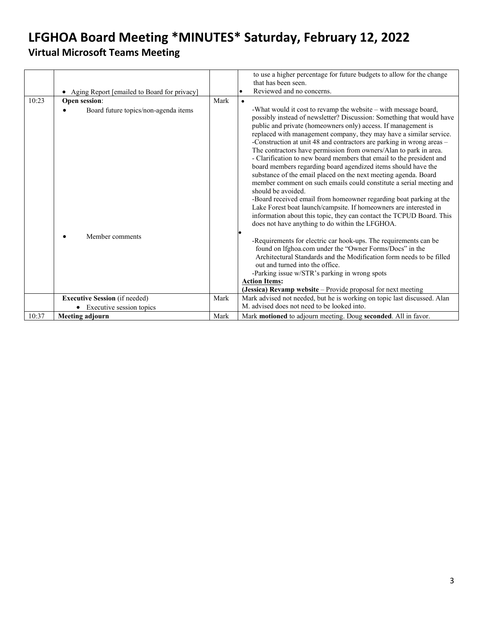<span id="page-2-0"></span>

|       |                                               |      | to use a higher percentage for future budgets to allow for the change<br>that has been seen.                                                                                                                                                                                                                                                                                                                                                                                                                                                                                                                                                                                                                                                                                                                                                                                                                                                                                                                 |
|-------|-----------------------------------------------|------|--------------------------------------------------------------------------------------------------------------------------------------------------------------------------------------------------------------------------------------------------------------------------------------------------------------------------------------------------------------------------------------------------------------------------------------------------------------------------------------------------------------------------------------------------------------------------------------------------------------------------------------------------------------------------------------------------------------------------------------------------------------------------------------------------------------------------------------------------------------------------------------------------------------------------------------------------------------------------------------------------------------|
|       | • Aging Report [emailed to Board for privacy] |      | Reviewed and no concerns.                                                                                                                                                                                                                                                                                                                                                                                                                                                                                                                                                                                                                                                                                                                                                                                                                                                                                                                                                                                    |
| 10:23 | Open session:                                 | Mark |                                                                                                                                                                                                                                                                                                                                                                                                                                                                                                                                                                                                                                                                                                                                                                                                                                                                                                                                                                                                              |
|       | Board future topics/non-agenda items          |      | -What would it cost to revamp the website - with message board,<br>possibly instead of newsletter? Discussion: Something that would have<br>public and private (homeowners only) access. If management is<br>replaced with management company, they may have a similar service.<br>-Construction at unit 48 and contractors are parking in wrong areas -<br>The contractors have permission from owners/Alan to park in area.<br>- Clarification to new board members that email to the president and<br>board members regarding board agendized items should have the<br>substance of the email placed on the next meeting agenda. Board<br>member comment on such emails could constitute a serial meeting and<br>should be avoided.<br>-Board received email from homeowner regarding boat parking at the<br>Lake Forest boat launch/campsite. If homeowners are interested in<br>information about this topic, they can contact the TCPUD Board. This<br>does not have anything to do within the LFGHOA. |
|       | Member comments                               |      | -Requirements for electric car hook-ups. The requirements can be<br>found on lfghoa.com under the "Owner Forms/Docs" in the<br>Architectural Standards and the Modification form needs to be filled<br>out and turned into the office.<br>-Parking issue w/STR's parking in wrong spots<br><b>Action Items:</b><br>(Jessica) Revamp website - Provide proposal for next meeting                                                                                                                                                                                                                                                                                                                                                                                                                                                                                                                                                                                                                              |
|       | <b>Executive Session</b> (if needed)          | Mark | Mark advised not needed, but he is working on topic last discussed. Alan                                                                                                                                                                                                                                                                                                                                                                                                                                                                                                                                                                                                                                                                                                                                                                                                                                                                                                                                     |
|       | Executive session topics                      |      | M. advised does not need to be looked into.                                                                                                                                                                                                                                                                                                                                                                                                                                                                                                                                                                                                                                                                                                                                                                                                                                                                                                                                                                  |
| 10:37 | <b>Meeting adjourn</b>                        | Mark | Mark motioned to adjourn meeting. Doug seconded. All in favor.                                                                                                                                                                                                                                                                                                                                                                                                                                                                                                                                                                                                                                                                                                                                                                                                                                                                                                                                               |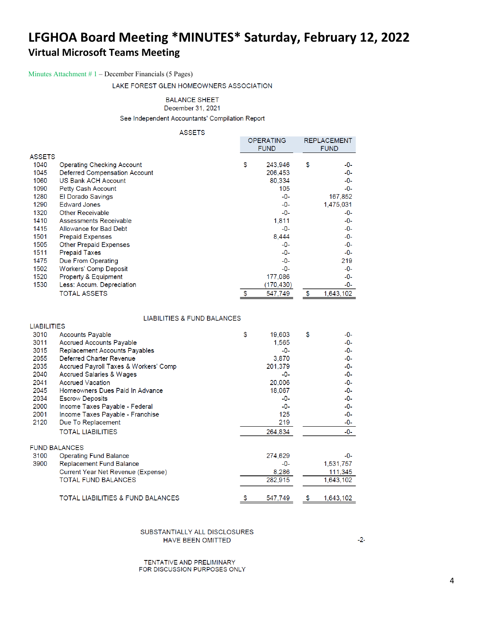### Minutes Attachment # 1 – December Financials (5 Pages)

LAKE FOREST GLEN HOMEOWNERS ASSOCIATION

### **BALANCE SHEET**

December 31, 2021

See Independent Accountants' Compilation Report

#### **ASSETS**

|               |                                      | OPERATING<br><b>FUND</b> | REPLACEMENT<br><b>FUND</b> |
|---------------|--------------------------------------|--------------------------|----------------------------|
| <b>ASSETS</b> |                                      |                          |                            |
| 1040          | <b>Operating Checking Account</b>    | \$<br>243.946            | \$<br>-0-                  |
| 1045          | <b>Deferred Compensation Account</b> | 206.453                  | -0-                        |
| 1060          | <b>US Bank ACH Account</b>           | 80.334                   | -0-                        |
| 1090          | Petty Cash Account                   | 105                      | -0-                        |
| 1280          | El Dorado Savings                    | -0-                      | 167,852                    |
| 1290          | <b>Edward Jones</b>                  | -0-                      | 1,475,031                  |
| 1320          | <b>Other Receivable</b>              | -0-                      | -0-                        |
| 1410          | Assessments Receivable               | 1,811                    | -0-                        |
| 1415          | Allowance for Bad Debt               | -0-                      | -0-                        |
| 1501          | <b>Prepaid Expenses</b>              | 8,444                    | -0-                        |
| 1505          | Other Prepaid Expenses               | -0-                      | -0-                        |
| 1511          | <b>Prepaid Taxes</b>                 | -0-                      | -0-                        |
| 1475          | Due From Operating                   | -0-                      | 219                        |
| 1502          | <b>Workers' Comp Deposit</b>         | -0-                      | -0-                        |
| 1520          | Property & Equipment                 | 177,086                  | -0-                        |
| 1530          | Less: Accum. Depreciation            | (170,430)                | -0-                        |
|               | <b>TOTAL ASSETS</b>                  | 547,749                  | \$<br>1,643,102            |

### **LIABILITIES & FUND BALANCES**

| <b>LIABILITIES</b> |                                       |               |                 |
|--------------------|---------------------------------------|---------------|-----------------|
| 3010               | <b>Accounts Payable</b>               | \$<br>19,603  | \$<br>-0-       |
| 3011               | <b>Accrued Accounts Payable</b>       | 1.565         | -0-             |
| 3015               | <b>Replacement Accounts Payables</b>  | $-0-$         | -0-             |
| 2055               | Deferred Charter Revenue              | 3,870         | -0-             |
| 2035               | Accrued Payroll Taxes & Workers' Comp | 201,379       | $-0-$           |
| 2040               | <b>Accrued Salaries &amp; Wages</b>   | -0-           | -0-             |
| 2041               | <b>Accrued Vacation</b>               | 20,006        | -0-             |
| 2045               | Homeowners Dues Paid In Advance       | 18,067        | -0-             |
| 2034               | <b>Escrow Deposits</b>                | -0-           | -0-             |
| 2000               | Income Taxes Payable - Federal        | -0-           | -0-             |
| 2001               | Income Taxes Payable - Franchise      | 125           | -0-             |
| 2120               | Due To Replacement                    | 219           | -0-             |
|                    | <b>TOTAL LIABILITIES</b>              | 264.834       | -0-             |
|                    | <b>FUND BALANCES</b>                  |               |                 |
| 3100               | <b>Operating Fund Balance</b>         | 274,629       | -0-             |
| 3900               | <b>Replacement Fund Balance</b>       | -0-           | 1,531,757       |
|                    | Current Year Net Revenue (Expense)    | 8,286         | 111,345         |
|                    | <b>TOTAL FUND BALANCES</b>            | 282,915       | 1.643.102       |
|                    | TOTAL LIABILITIES & FUND BALANCES     | \$<br>547.749 | \$<br>1,643,102 |

#### SUBSTANTIALLY ALL DISCLOSURES HAVE BEEN OMITTED

TENTATIVE AND PRELIMINARY FOR DISCUSSION PURPOSES ONLY  $-2-$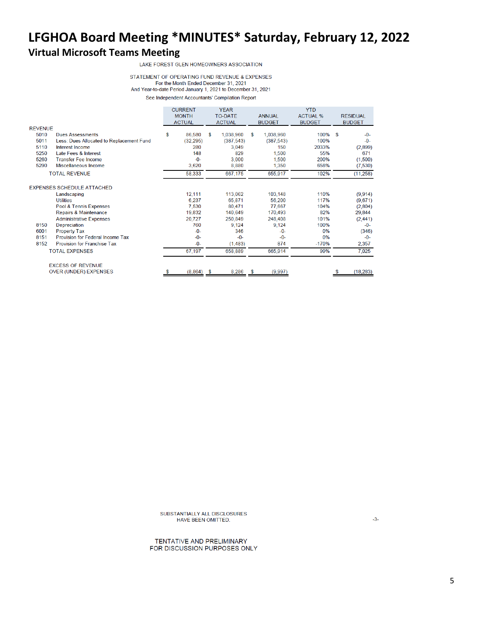LAKE FOREST GLEN HOMEOWNERS ASSOCIATION

#### STATEMENT OF OPERATING FUND REVENUE & EXPENSES For the Month Ended December 31, 2021 And Year-to-date Period January 1, 2021 to December 31, 2021

See Independent Accountants' Compilation Report

|                |                                          | <b>CURRENT</b><br><b>MONTH</b><br><b>ACTUAL</b> |           | <b>YEAR</b><br><b>TO-DATE</b><br><b>ACTUAL</b> |            | <b>ANNUAL</b><br><b>BUDGET</b> |            | <b>YTD</b><br><b>ACTUAL %</b><br><b>BUDGET</b> |      | <b>RESIDUAL</b><br><b>BUDGET</b> |
|----------------|------------------------------------------|-------------------------------------------------|-----------|------------------------------------------------|------------|--------------------------------|------------|------------------------------------------------|------|----------------------------------|
| <b>REVENUE</b> |                                          |                                                 |           |                                                |            |                                |            |                                                |      |                                  |
| 5010           | <b>Dues Assessments</b>                  | \$                                              | 86,580    | S                                              | 1,038,960  | S                              | 1,038,960  | 100%                                           | - \$ | $-0-$                            |
| 5011           | Less: Dues Allocated to Replacement Fund |                                                 | (32, 295) |                                                | (387, 543) |                                | (387, 543) | 100%                                           |      | $-0-$                            |
| 5110           | Interest Income                          |                                                 | 280       |                                                | 3,049      |                                | 150        | 2033%                                          |      | (2,899)                          |
| 5250           | Late Fees & Interest                     |                                                 | 148       |                                                | 829        |                                | 1,500      | 55%                                            |      | 671                              |
| 5260           | <b>Transfer Fee Income</b>               |                                                 | $-0-$     |                                                | 3,000      |                                | 1,500      | 200%                                           |      | (1,500)                          |
| 5290           | Miscellaneous Income                     |                                                 | 3,620     |                                                | 8,880      |                                | 1,350      | 658%                                           |      | (7, 530)                         |
|                | <b>TOTAL REVENUE</b>                     |                                                 | 58,333    |                                                | 667,175    |                                | 655,917    | 102%                                           |      | (11, 258)                        |
|                | <b>EXPENSES SCHEDULE ATTACHED</b>        |                                                 |           |                                                |            |                                |            |                                                |      |                                  |
|                | Landscaping                              |                                                 | 12,111    |                                                | 113,062    |                                | 103,148    | 110%                                           |      | (9,914)                          |
|                | <b>Utilities</b>                         |                                                 | 6,237     |                                                | 65,871     |                                | 56,200     | 117%                                           |      | (9,671)                          |
|                | Pool & Tennis Expenses                   |                                                 | 7,530     |                                                | 80.471     |                                | 77.667     | 104%                                           |      | (2,804)                          |
|                | Repairs & Maintenance                    |                                                 | 19,832    |                                                | 140,649    |                                | 170,493    | 82%                                            |      | 29,844                           |
|                | <b>Administrative Expenses</b>           |                                                 | 20,727    |                                                | 250,849    |                                | 248,408    | 101%                                           |      | (2, 441)                         |
| 8150           | Depreciation                             |                                                 | 760       |                                                | 9,124      |                                | 9,124      | 100%                                           |      | $-0-$                            |
| 6001           | <b>Property Tax</b>                      |                                                 | $-0-$     |                                                | 346        |                                | $-0-$      | 0%                                             |      | (346)                            |
| 8151           | Provision for Federal Income Tax         |                                                 | $-0-$     |                                                | $-0-$      |                                | $-0-$      | 0%                                             |      | $-0-$                            |
| 8152           | <b>Provision for Franchise Tax</b>       |                                                 | $-0-$     |                                                | (1,483)    |                                | 874        | $-170%$                                        |      | 2,357                            |
|                | <b>TOTAL EXPENSES</b>                    |                                                 | 67,197    |                                                | 658,889    |                                | 665,914    | 99%                                            |      | 7,025                            |
|                | <b>EXCESS OF REVENUE</b>                 |                                                 |           |                                                |            |                                |            |                                                |      |                                  |
|                | <b>OVER (UNDER) EXPENSES</b>             | \$                                              | (8, 864)  | s                                              | 8,286      | \$                             | (9,997)    |                                                | s    | (18, 283)                        |

SUBSTANTIALLY ALL DISCLOSURES HAVE BEEN OMITTED.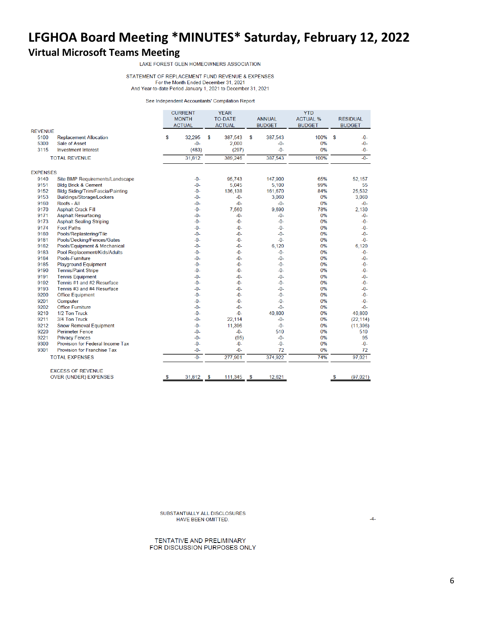STATEMENT OF REPLACEMENT FUND REVENUE & EXPENSES For the Month Ended December 31, 2021 And Year-to-date Period January 1, 2021 to December 31, 2021

See Independent Accountants' Compilation Report

|                 |                                    |    | <b>CURRENT</b><br><b>MONTH</b><br><b>ACTUAL</b> |    | <b>YEAR</b><br><b>TO-DATE</b><br><b>ACTUAL</b> |    | <b>ANNUAL</b><br><b>BUDGET</b> | <b>YTD</b><br><b>ACTUAL %</b><br><b>BUDGET</b> |    | <b>RESIDUAL</b><br><b>BUDGET</b> |
|-----------------|------------------------------------|----|-------------------------------------------------|----|------------------------------------------------|----|--------------------------------|------------------------------------------------|----|----------------------------------|
| <b>REVENUE</b>  |                                    |    |                                                 |    |                                                |    |                                |                                                |    |                                  |
| 5100            | <b>Replacement Allocation</b>      | \$ | 32,295                                          | \$ | 387,543                                        | \$ | 387,543                        | 100%                                           | \$ | $-0-$                            |
| 5300            | Sale of Asset                      |    | $-0-$                                           |    | 2,000                                          |    | -0-                            | 0%                                             |    | $-0-$                            |
| 3115            | <b>Investment Interest</b>         |    | (483)                                           |    | (297)                                          |    | -0-                            | 0%                                             |    | -0-                              |
|                 | <b>TOTAL REVENUE</b>               |    | 31,812                                          |    | 389,246                                        |    | 387,543                        | 100%                                           |    | $-0-$                            |
| <b>EXPENSES</b> |                                    |    |                                                 |    |                                                |    |                                |                                                |    |                                  |
| 9140            | Site BMP Requirements/Landscape    |    | $-0-$                                           |    | 95,743                                         |    | 147,900                        | 65%                                            |    | 52,157                           |
| 9151            | <b>Bldg Brick &amp; Cement</b>     |    | $-0-$                                           |    | 5,045                                          |    | 5,100                          | 99%                                            |    | 55                               |
| 9152            | Bldg Siding/Trim/Fascia/Painting   |    | $-0-$                                           |    | 136,138                                        |    | 161,670                        | 84%                                            |    | 25,532                           |
| 9153            | <b>Buildings/Storage/Lockers</b>   |    | -0-                                             |    | -0-                                            |    | 3,060                          | 0%                                             |    | 3,060                            |
| 9160            | Roofs - All                        |    | $-0-$                                           |    | $-0-$                                          |    | -0-                            | 0%                                             |    | $-0-$                            |
| 9170            | <b>Asphalt Crack Fill</b>          |    | $-0-$                                           |    | 7,560                                          |    | 9,690                          | 78%                                            |    | 2,130                            |
| 9171            | <b>Asphalt Resurfacing</b>         |    | $-0-$                                           |    | -0-                                            |    | $-0-$                          | 0%                                             |    | $-0-$                            |
| 9173            | <b>Asphalt Sealing Striping</b>    |    | $-0-$                                           |    | $-0-$                                          |    | $-0-$                          | 0%                                             |    | $-0-$                            |
| 9174            | <b>Foot Paths</b>                  |    | $-0-$                                           |    | $-0-$                                          |    | $-0-$                          | 0%                                             |    | -0-                              |
| 9180            | Pools/Replastering/Tile            |    | $-0-$                                           |    | -0-                                            |    | -0-                            | 0%                                             |    | $-0-$                            |
| 9181            | Pools/Decking/Fences/Gates         |    | -0-                                             |    | -0-                                            |    | $-0-$                          | 0%                                             |    | -0-                              |
| 9182            | Pools/Equipment & Mechanical       |    | $-0-$                                           |    | $-0-$                                          |    | 6,120                          | 0%                                             |    | 6,120                            |
| 9183            | Pool Replacement/Kids/Adults       |    | $-0-$                                           |    | $-0-$                                          |    | $-0-$                          | 0%                                             |    | $-0-$                            |
| 9184            | Pools-Furniture                    |    | $-0-$                                           |    | $-0-$                                          |    | $-0-$                          | 0%                                             |    | $-0-$                            |
| 9185            | <b>Playground Equipment</b>        |    | $-0-$                                           |    | $-0-$                                          |    | $-0-$                          | 0%                                             |    | $-0-$                            |
| 9190            | <b>Tennis/Paint Stripe</b>         |    | -0-                                             |    | $-0-$                                          |    | -0-                            | 0%                                             |    | -0-                              |
| 9191            | <b>Tennis Equipment</b>            |    | $-0-$                                           |    | $-0-$                                          |    | $-0-$                          | 0%                                             |    | $-0-$                            |
| 9192            | Tennis #1 and #2 Resurface         |    | $-0-$                                           |    | $-0-$                                          |    | $-0-$                          | 0%                                             |    | $-0-$                            |
| 9193            | Tennis #3 and #4 Resurface         |    | $-0-$                                           |    | $-0-$                                          |    | $-0-$                          | 0%                                             |    | $-0-$                            |
| 9200            | <b>Office Equipment</b>            |    | $-0-$                                           |    | $-0-$                                          |    | $-0-$                          | 0%                                             |    | $-0-$                            |
| 9201            | Computer                           |    | $-0-$                                           |    | $-0-$                                          |    | $-0-$                          | 0%                                             |    | $-0-$                            |
| 9202            | <b>Office Furniture</b>            |    | $-0-$                                           |    | -0-                                            |    | $-0-$                          | 0%                                             |    | $-0-$                            |
| 9210            | 1/2 Ton Truck                      |    | $-0-$                                           |    | $-0-$                                          |    | 40,800                         | 0%                                             |    | 40,800                           |
| 9211            | 3/4 Ton Truck                      |    | $-0-$                                           |    | 22,114                                         |    | -0-                            | 0%                                             |    | (22, 114)                        |
| 9212            | <b>Snow Removal Equipment</b>      |    | $-0-$                                           |    | 11,396                                         |    | $-0-$                          | 0%                                             |    | (11, 396)                        |
| 9220            | <b>Perimeter Fence</b>             |    | $-0-$                                           |    | $-0-$                                          |    | 510                            | 0%                                             |    | 510                              |
| 9221            | <b>Privacy Fences</b>              |    | $-0-$                                           |    | (95)                                           |    | $-0-$                          | 0%                                             |    | 95                               |
| 9300            | Provision for Federal Income Tax   |    | $-0-$                                           |    | $-0-$                                          |    | $-0-$                          | 0%                                             |    | $-0-$                            |
| 9301            | <b>Provision for Franchise Tax</b> |    | $-0-$                                           |    | $-0-$                                          |    | 72                             | 0%                                             |    | 72                               |
|                 | <b>TOTAL EXPENSES</b>              |    | $-0-$                                           |    | 277,901                                        |    | 374,922                        | 74%                                            |    | 97,021                           |
|                 | <b>EXCESS OF REVENUE</b>           |    |                                                 |    |                                                |    |                                |                                                |    |                                  |
|                 | <b>OVER (UNDER) EXPENSES</b>       | S  | 31,812                                          | S  | 111,345                                        | S  | 12,621                         |                                                | S  | (97, 021)                        |

SUBSTANTIALLY ALL DISCLOSURES HAVE BEEN OMITTED.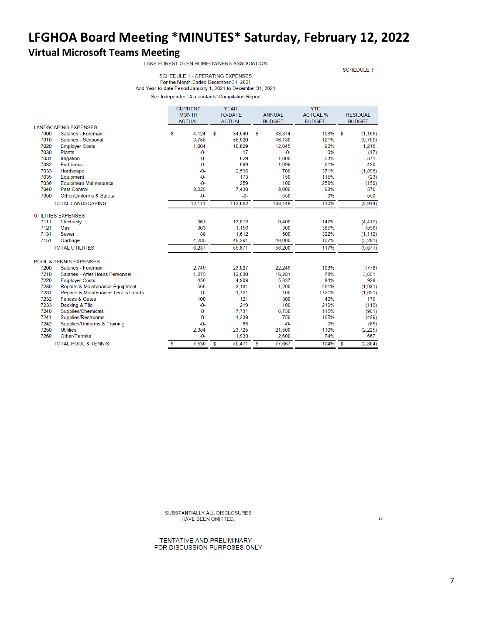**SCHEDULE 1** 

SCHEDULE 1 - OPERATING EXPENSES For the Month Ended December 31, 2021 And Year-to-date Period January 1, 2021 to December 31, 2021 See Independent Accountants' Compilation Report

|      |                                     | <b>CURRENT</b> |        | <b>YEAR</b>    | <b>YTD</b>    |                 |                      |
|------|-------------------------------------|----------------|--------|----------------|---------------|-----------------|----------------------|
|      |                                     | <b>MONTH</b>   |        | <b>TO-DATE</b> | <b>ANNUAL</b> | <b>ACTUAL %</b> | <b>RESIDUAL</b>      |
|      |                                     | <b>ACTUAL</b>  |        | <b>ACTUAL</b>  | <b>BUDGET</b> | <b>BUDGET</b>   | <b>BUDGET</b>        |
|      | <b>LANDSCAPING EXPENSES</b>         |                |        |                |               |                 |                      |
| 7000 | Salaries - Foreman                  | \$             | 4,124  | \$<br>34,540   | \$<br>33,374  | 103%            | <b>S</b><br>(1, 166) |
| 7010 | Salaries - Seasonal                 |                | 3,758  | 55,920         | 46,130        | 121%            | (9,790)              |
| 7020 | <b>Employer Costs</b>               |                | 1,004  | 10,829         | 12,045        | 90%             | 1,216                |
| 7030 | <b>Plants</b>                       |                | $-0-$  | 17             | $-0-$         | 0%              | (17)                 |
| 7031 | <b>Irrigation</b>                   |                | $-0-$  | 629            | 1,000         | 63%             | 371                  |
| 7032 | Fertilizers                         |                | $-0-$  | 669            | 1,099         | 61%             | 430                  |
| 7033 | Hardscape                           |                | $-0-$  | 2,596          | 700           | 371%            | (1,896)              |
| 7035 | Equipment                           |                | $-0-$  | 173            | 150           | 115%            | (23)                 |
| 7036 | <b>Equipment Maintenance</b>        |                | $-0-$  | 259            | 100           | 259%            | (159)                |
| 7040 | <b>Pest Control</b>                 |                | 3,225  | 7,430          | 8,000         | 93%             | 570                  |
| 7050 | Other/Uniforms & Safety             |                | $-0-$  | $-0-$          | 550           | 0%              | 550                  |
|      | <b>TOTAL LANDSCAPING</b>            |                | 12,111 | 113,062        | 103,148       | 110%            | (9,914)              |
|      | <b>UTILITIES EXPENSES</b>           |                |        |                |               |                 |                      |
| 7111 | Electricity                         |                | 961    | 13,812         | 9,400         | 147%            | (4, 412)             |
| 7121 | Gas                                 |                | 903    | 1,156          | 300           | 385%            | (856)                |
| 7131 | <b>Sewer</b>                        |                | 88     | 1,612          | 500           | 322%            | (1, 112)             |
| 7151 | Garbage                             |                | 4,285  | 49,291         | 46,000        | 107%            | (3,291)              |
|      | <b>TOTAL UTILITIES</b>              |                | 6,237  | 65,871         | 56,200        | 117%            | (9,671)              |
|      |                                     |                |        |                |               |                 |                      |
|      | <b>POOL &amp; TENNIS EXPENSES</b>   |                |        |                |               |                 |                      |
| 7200 | Salaries - Foreman                  |                | 2.749  | 23,027         | 22,249        | 103%            | (778)                |
| 7210 | Salaries - After Hours Personnel    |                | 1,275  | 12,630         | 16,281        | 78%             | 3,651                |
| 7220 | <b>Employer Costs</b>               |                | 456    | 4,909          | 5,837         | 84%             | 928                  |
| 7230 | Repairs & Maintenance Equipment     |                | 566    | 3,131          | 1,200         | 261%            | (1,931)              |
| 7231 | Repairs & Maintenance Tennis Courts |                | $-0-$  | 1,721          | 100           | 1721%           | (1,621)              |
| 7232 | Fences & Gates                      |                | 100    | 121            | 300           | 40%             | 179                  |
| 7233 | Decking & Tile                      |                | $-0-$  | 219            | 100           | 219%            | (119)                |
| 7240 | Supplies/Chemicals                  |                | $-0-$  | 7,731          | 6,750         | 115%            | (981)                |
| 7241 | Supplies/Restrooms                  |                | $-0-$  | 1,239          | 750           | 165%            | (489)                |
| 7242 | Supplies/Uniforms & Training        |                | $-0-$  | 85             | $-0-$         | 0%              | (85)                 |
| 7250 | <b>Utilities</b>                    |                | 2,384  | 23,725         | 21,500        | 110%            | (2, 225)             |
| 7260 | Other/Permits                       |                | $-0-$  | 1,933          | 2,600         | 74%             | 667                  |
|      | <b>TOTAL POOL &amp; TENNIS</b>      | \$             | 7,530  | \$<br>80,471   | \$<br>77,667  | 104%            | \$<br>(2,804)        |

SUBSTANTIALLY ALL DISCLOSURES HAVE BEEN OMITTED.